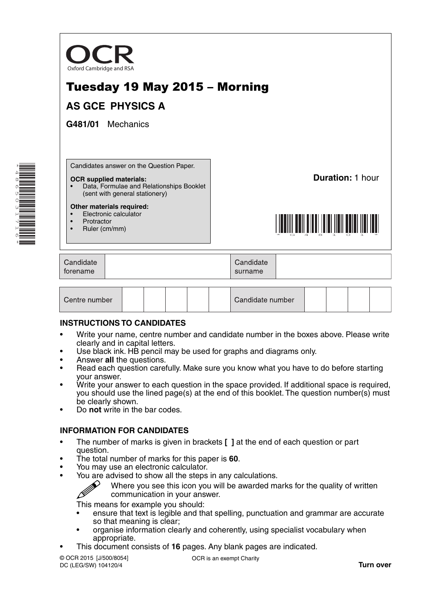

# Tuesday 19 May 2015 – Morning

# **AS GCE PHYSICS A**

**G481/01** Mechanics

Candidates answer on the Question Paper.

#### **OCR supplied materials:**

• Data, Formulae and Relationships Booklet (sent with general stationery)

#### **Other materials required:**

- Electronic calculator
- **Protractor**
- Ruler (cm/mm)

**Duration:** 1 hour



| Candidate | Candidate |  |
|-----------|-----------|--|
| torename  | surname   |  |

| Centre number |  |  |  |  |  | Candidate number |  |  |  |  |  |
|---------------|--|--|--|--|--|------------------|--|--|--|--|--|
|---------------|--|--|--|--|--|------------------|--|--|--|--|--|

### **INSTRUCTIONS TO CANDIDATES**

- Write your name, centre number and candidate number in the boxes above. Please write clearly and in capital letters.
- Use black ink. HB pencil may be used for graphs and diagrams only.
- Answer **all** the questions.
- Read each question carefully. Make sure you know what you have to do before starting your answer.
- Write your answer to each question in the space provided. If additional space is required, you should use the lined page(s) at the end of this booklet. The question number(s) must be clearly shown.
- Do **not** write in the bar codes.

### **INFORMATION FOR CANDIDATES**

- The number of marks is given in brackets **[ ]** at the end of each question or part question.
- The total number of marks for this paper is **60**.
- You may use an electronic calculator.
- You are advised to show all the steps in any calculations.
	- Where you see this icon you will be awarded marks for the quality of written communication in your answer.

This means for example you should:

- ensure that text is legible and that spelling, punctuation and grammar are accurate so that meaning is clear;
- organise information clearly and coherently, using specialist vocabulary when appropriate.
- This document consists of **16** pages. Any blank pages are indicated.

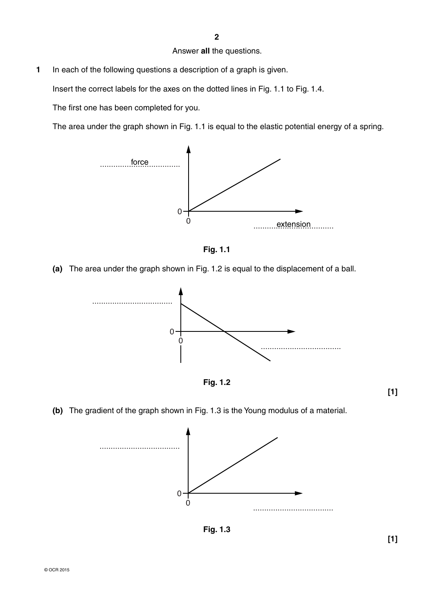#### Answer **all** the questions.

**1** In each of the following questions a description of a graph is given.

Insert the correct labels for the axes on the dotted lines in Fig. 1.1 to Fig. 1.4.

The first one has been completed for you.

The area under the graph shown in Fig. 1.1 is equal to the elastic potential energy of a spring.





 **(a)** The area under the graph shown in Fig. 1.2 is equal to the displacement of a ball.





 **(b)** The gradient of the graph shown in Fig. 1.3 is the Young modulus of a material.



**Fig. 1.3**

**[1]**

**[1]**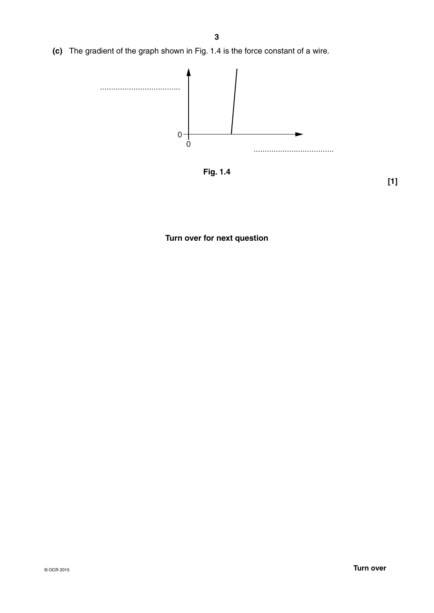**(c)** The gradient of the graph shown in Fig. 1.4 is the force constant of a wire.



**Fig. 1.4**

**[1]**

# **Turn over for next question**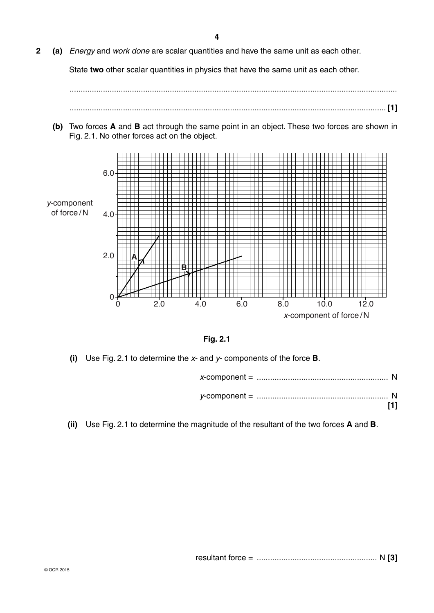**2 (a)** *Energy* and *work done* are scalar quantities and have the same unit as each other.

State **two** other scalar quantities in physics that have the same unit as each other.

 ................................................................................................................................................... .............................................................................................................................................. **[1]**

 **(b)** Two forces **A** and **B** act through the same point in an object. These two forces are shown in Fig. 2.1. No other forces act on the object.





 **(i)** Use Fig. 2.1 to determine the *x*- and *y*- components of the force **B**.

 **(ii)** Use Fig. 2.1 to determine the magnitude of the resultant of the two forces **A** and **B**.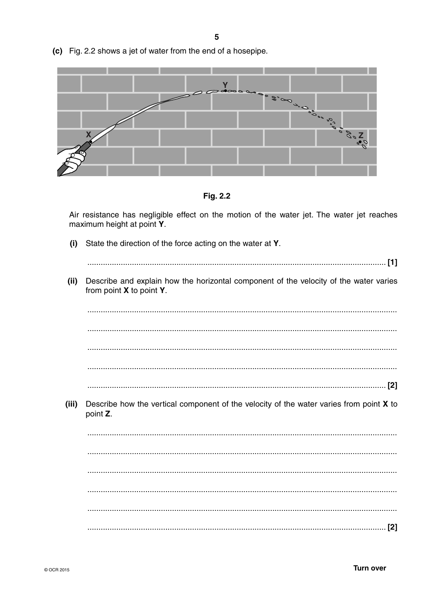(c) Fig. 2.2 shows a jet of water from the end of a hosepipe.



Fig. 2.2

Air resistance has negligible effect on the motion of the water jet. The water jet reaches maximum height at point Y.

State the direction of the force acting on the water at Y.  $(i)$  $(ii)$ Describe and explain how the horizontal component of the velocity of the water varies from point X to point Y. Describe how the vertical component of the velocity of the water varies from point X to (iii) point Z.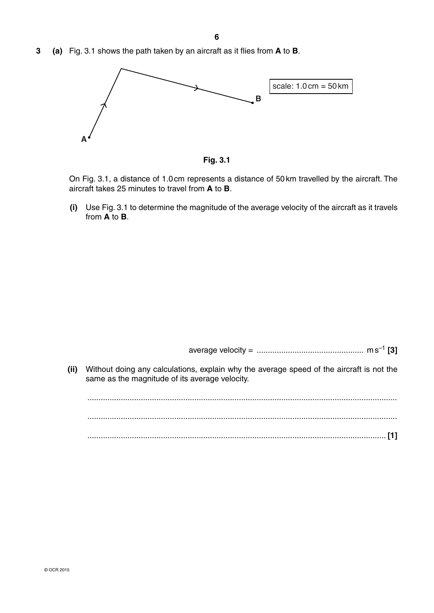**3 (a)** Fig. 3.1 shows the path taken by an aircraft as it flies from **A** to **B**.



**Fig. 3.1**

On Fig. 3.1, a distance of 1.0 cm represents a distance of 50 km travelled by the aircraft. The aircraft takes 25 minutes to travel from **A** to **B**.

 **(i)** Use Fig. 3.1 to determine the magnitude of the average velocity of the aircraft as it travels from **A** to **B**.

average velocity = ................................................ m s–1 **[3]**

 **(ii)** Without doing any calculations, explain why the average speed of the aircraft is not the same as the magnitude of its average velocity.

 ........................................................................................................................................... ........................................................................................................................................... ...................................................................................................................................... **[1]**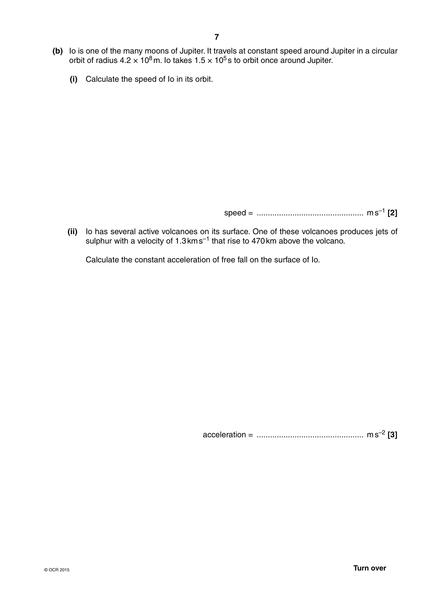- **(b)** Io is one of the many moons of Jupiter. It travels at constant speed around Jupiter in a circular orbit of radius 4.2  $\times$  10<sup>8</sup> m. Io takes 1.5  $\times$  10<sup>5</sup> s to orbit once around Jupiter.
	- **(i)** Calculate the speed of Io in its orbit.

speed = ................................................ m s–1 **[2]**

 **(ii)** Io has several active volcanoes on its surface. One of these volcanoes produces jets of sulphur with a velocity of 1.3 km s<sup>-1</sup> that rise to 470 km above the volcano.

Calculate the constant acceleration of free fall on the surface of Io.

acceleration = ................................................ m s–2 **[3]**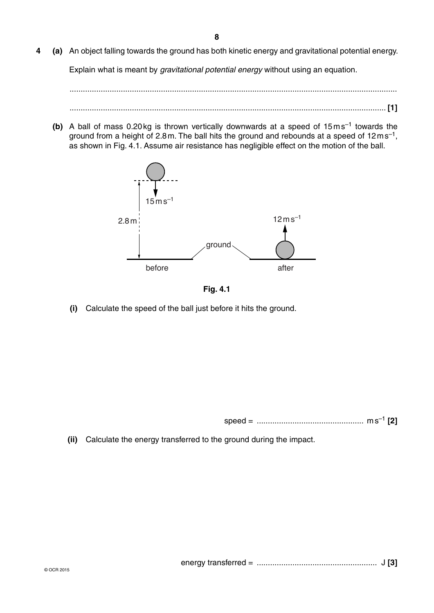**4 (a)** An object falling towards the ground has both kinetic energy and gravitational potential energy.

Explain what is meant by *gravitational potential energy* without using an equation.

 ................................................................................................................................................... .............................................................................................................................................. **[1]**

**(b)** A ball of mass 0.20 kg is thrown vertically downwards at a speed of 15 m s<sup>-1</sup> towards the ground from a height of 2.8 m. The ball hits the ground and rebounds at a speed of  $12 \text{ m s}^{-1}$ , as shown in Fig. 4.1. Assume air resistance has negligible effect on the motion of the ball.





 **(i)** Calculate the speed of the ball just before it hits the ground.

speed = ................................................ m s–1 **[2]**

 **(ii)** Calculate the energy transferred to the ground during the impact.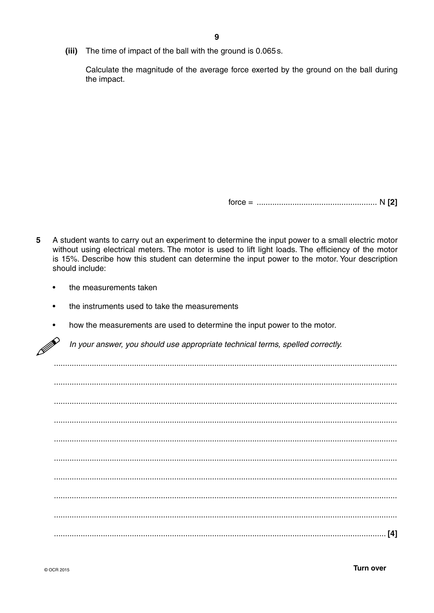(iii) The time of impact of the ball with the ground is 0.065s.

Calculate the magnitude of the average force exerted by the ground on the ball during the impact.

- 5 A student wants to carry out an experiment to determine the input power to a small electric motor without using electrical meters. The motor is used to lift light loads. The efficiency of the motor is 15%. Describe how this student can determine the input power to the motor. Your description should include:
	- the measurements taken  $\bullet$
	- the instruments used to take the measurements  $\bullet$
	- how the measurements are used to determine the input power to the motor.  $\bullet$

P In your answer, you should use appropriate technical terms, spelled correctly.

| [4] |
|-----|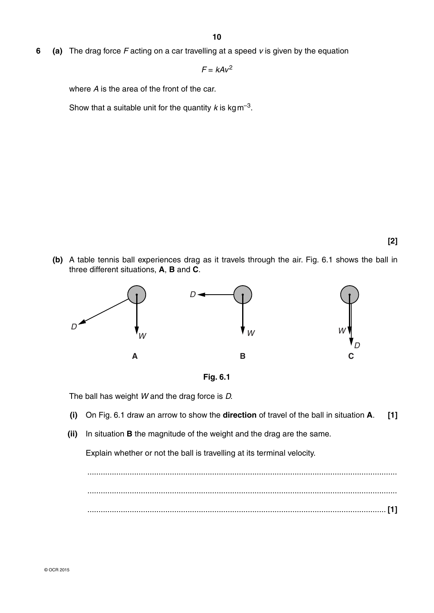**6 (a)** The drag force *F* acting on a car travelling at a speed *v* is given by the equation

 $F = kAv^2$ 

where *A* is the area of the front of the car.

Show that a suitable unit for the quantity  $k$  is kg m<sup>-3</sup>.

- **[2]**
- **(b)** A table tennis ball experiences drag as it travels through the air. Fig. 6.1 shows the ball in three different situations, **A**, **B** and **C**.





The ball has weight *W* and the drag force is *D.*

- **(i)** On Fig. 6.1 draw an arrow to show the **direction** of travel of the ball in situation **A**. **[1]**
- **(ii)** In situation **B** the magnitude of the weight and the drag are the same.

Explain whether or not the ball is travelling at its terminal velocity.

 ........................................................................................................................................... ........................................................................................................................................... ...................................................................................................................................... **[1]**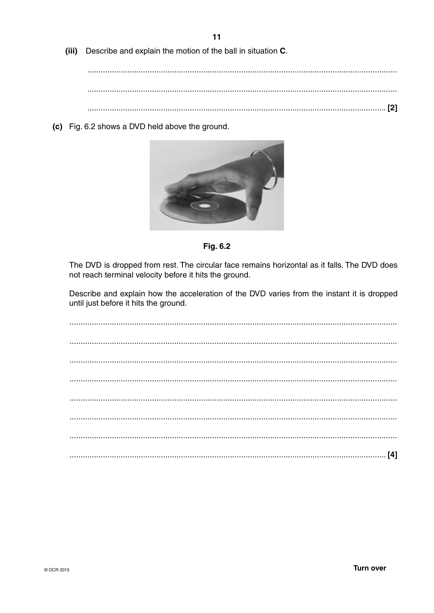$(iii)$ Describe and explain the motion of the ball in situation C.

(c) Fig. 6.2 shows a DVD held above the ground.





The DVD is dropped from rest. The circular face remains horizontal as it falls. The DVD does not reach terminal velocity before it hits the ground.

Describe and explain how the acceleration of the DVD varies from the instant it is dropped until just before it hits the ground.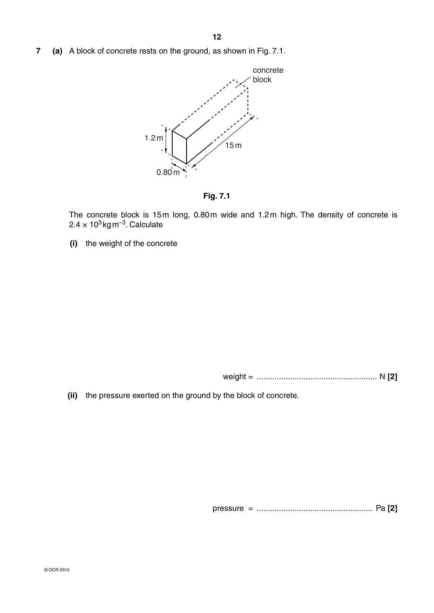**7 (a)** A block of concrete rests on the ground, as shown in Fig. 7.1.



**Fig. 7.1**

The concrete block is 15m long, 0.80m wide and 1.2m high. The density of concrete is  $2.4 \times 10^3$  kg m<sup>-3</sup>. Calculate

 **(i)** the weight of the concrete

weight = ...................................................... N **[2]**

 **(ii)** the pressure exerted on the ground by the block of concrete.

pressure = .................................................... Pa **[2]**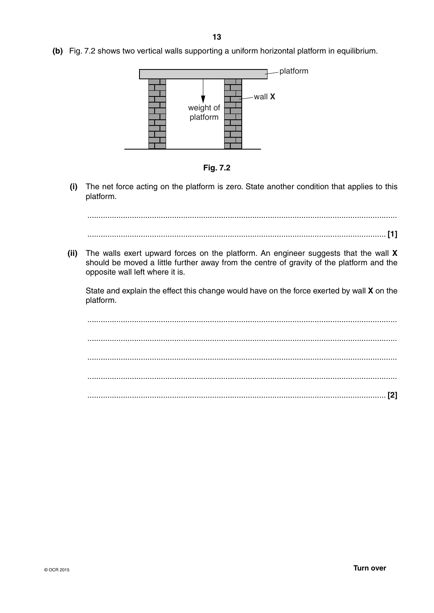**(b)** Fig. 7.2 shows two vertical walls supporting a uniform horizontal platform in equilibrium.



**Fig. 7.2**

 **(i)** The net force acting on the platform is zero. State another condition that applies to this platform.

 ........................................................................................................................................... ...................................................................................................................................... **[1]**

 **(ii)** The walls exert upward forces on the platform. An engineer suggests that the wall **X** should be moved a little further away from the centre of gravity of the platform and the opposite wall left where it is.

State and explain the effect this change would have on the force exerted by wall **X** on the platform.

 ........................................................................................................................................... ........................................................................................................................................... ........................................................................................................................................... ........................................................................................................................................... ...................................................................................................................................... **[2]**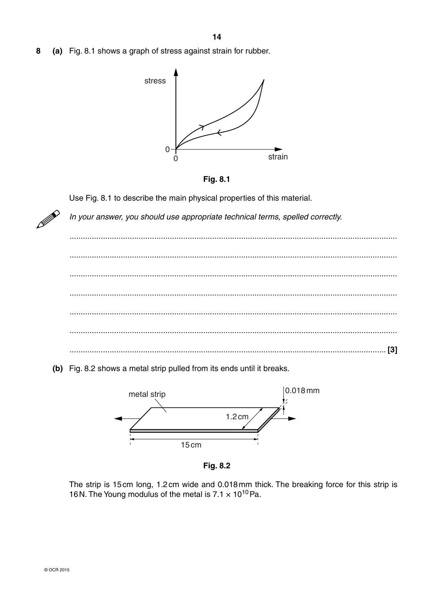(a) Fig. 8.1 shows a graph of stress against strain for rubber. 8





Use Fig. 8.1 to describe the main physical properties of this material.

In your answer, you should use appropriate technical terms, spelled correctly.



(b) Fig. 8.2 shows a metal strip pulled from its ends until it breaks.



Fig. 8.2

The strip is 15cm long, 1.2cm wide and 0.018mm thick. The breaking force for this strip is 16 N. The Young modulus of the metal is  $7.1 \times 10^{10}$  Pa.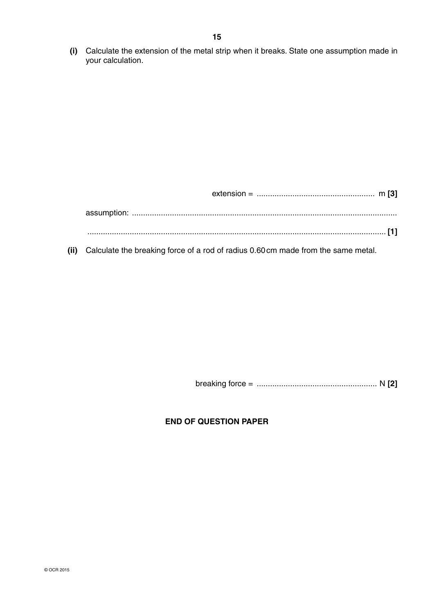**(i)** Calculate the extension of the metal strip when it breaks. State one assumption made in your calculation.

 **(ii)** Calculate the breaking force of a rod of radius 0.60 cm made from the same metal.

breaking force = ...................................................... N **[2]**

## **END OF QUESTION PAPER**